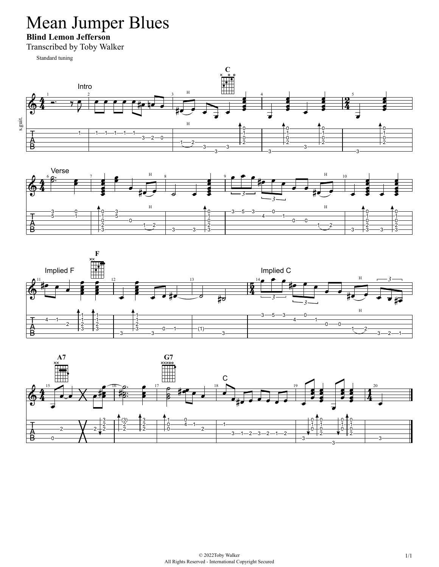# Mean Jumper Blues

**Blind Lemon Jefferson**

Transcribed by Toby Walker

Standard tuning







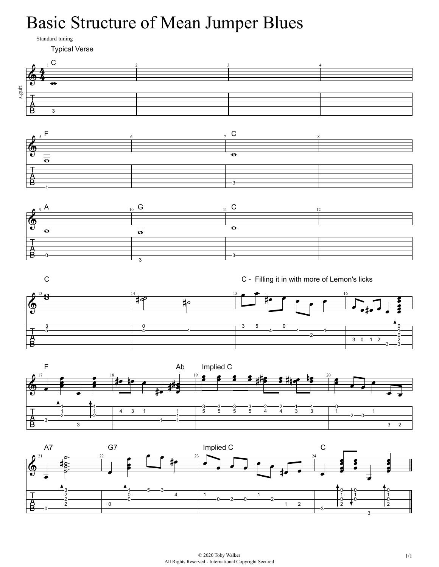# Basic Structure of Mean Jumper Blues

Standard tuning

Typical Verse  $\frac{1}{2}$  3 4  $\mathbf{\Phi}$  $\overline{\bullet}$ s.guit. ╕ 自己  $5 F$  6 7 C 8  $\mathbf{\Theta}$  $\overline{\bullet}$  $\overline{4}$ ।<br>В  $_9$  A  $_{10}$  G  $_{11}$  C  $_{12}$  $\bigcirc$ Ā  $\overline{\bullet}$  $\overline{\sigma}$ ∃ 髙  $-3-$  C - Filling it in with more of Lemon's licks  $\overline{13}$  0  $\overline{14}$  14  $\overline{15}$  15  $\overline{15}$  16  $\overline{16}$  16 ∍‡⊢





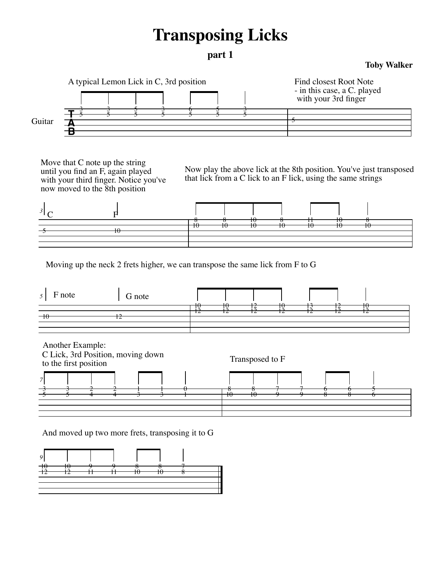### **Transposing Licks**

#### **part 1**

#### **Toby Walker**



Move that C note up the string until you find an F, again played with your third finger. Notice you've now moved to the 8th position

Now play the above lick at the 8th position. You've just transposed that lick from a C lick to an F lick, using the same strings



Moving up the neck 2 frets higher, we can transpose the same lick from F to G



And moved up two more frets, transposing it to G

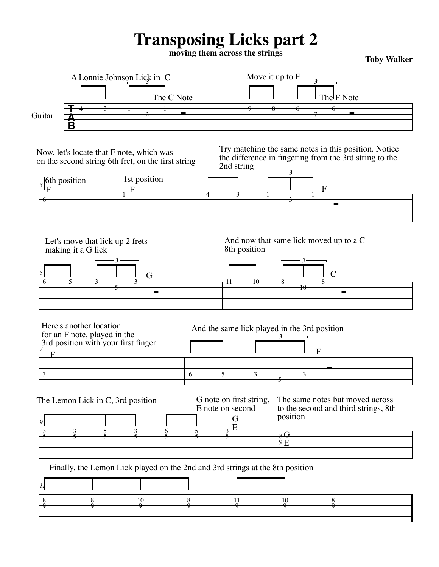### **Transposing Licks part 2**

**moving them across the strings Toby Walker**

|                               | A Lonnie Johnson Lick in C                                                                                   |                                                                                                |  |                                                       | Move it up to F                                       |                                                                                                                |  |  |
|-------------------------------|--------------------------------------------------------------------------------------------------------------|------------------------------------------------------------------------------------------------|--|-------------------------------------------------------|-------------------------------------------------------|----------------------------------------------------------------------------------------------------------------|--|--|
|                               |                                                                                                              | The C Note                                                                                     |  |                                                       |                                                       | The F Note                                                                                                     |  |  |
|                               |                                                                                                              |                                                                                                |  |                                                       |                                                       |                                                                                                                |  |  |
| Guitar                        |                                                                                                              |                                                                                                |  |                                                       |                                                       |                                                                                                                |  |  |
|                               |                                                                                                              |                                                                                                |  |                                                       |                                                       |                                                                                                                |  |  |
|                               |                                                                                                              | Now, let's locate that F note, which was<br>on the second string 6th fret, on the first string |  | 2nd string                                            |                                                       | Try matching the same notes in this position. Notice<br>the difference in fingering from the 3rd string to the |  |  |
| $\frac{1}{3}$ of the position |                                                                                                              | 1st position<br>$\overline{F}$                                                                 |  |                                                       |                                                       | $\mathbf{F}$                                                                                                   |  |  |
|                               |                                                                                                              |                                                                                                |  |                                                       |                                                       |                                                                                                                |  |  |
|                               |                                                                                                              |                                                                                                |  |                                                       |                                                       |                                                                                                                |  |  |
| 5                             | making it a G lick<br>-3-                                                                                    | G                                                                                              |  | 8th position<br>$^{\rm 11}$<br>$\pmb{\text{+}}\Theta$ | - 3 -<br>$\overline{10}$                              |                                                                                                                |  |  |
|                               | Here's another location<br>for an F note, played in the<br>$\frac{3}{7}$ and position with your first finger |                                                                                                |  |                                                       | And the same lick played in the 3rd position<br>$-3-$ | $\overline{F}$                                                                                                 |  |  |
|                               |                                                                                                              |                                                                                                |  |                                                       | $\overline{A}$                                        |                                                                                                                |  |  |
|                               |                                                                                                              |                                                                                                |  |                                                       |                                                       |                                                                                                                |  |  |
|                               | The Lemon Lick in C, 3rd position                                                                            |                                                                                                |  | G note on first string,<br>E note on second<br>G      | position<br>$_{8}$ $\overline{G}$                     | The same notes but moved across<br>to the second and third strings, 8th                                        |  |  |
|                               |                                                                                                              |                                                                                                |  |                                                       | $\rm ^{9}E$                                           |                                                                                                                |  |  |
|                               |                                                                                                              | Finally, the Lemon Lick played on the 2nd and 3rd strings at the 8th position                  |  |                                                       |                                                       |                                                                                                                |  |  |
|                               |                                                                                                              |                                                                                                |  |                                                       |                                                       |                                                                                                                |  |  |
|                               |                                                                                                              | 10                                                                                             |  |                                                       | 10                                                    |                                                                                                                |  |  |
|                               |                                                                                                              |                                                                                                |  |                                                       |                                                       |                                                                                                                |  |  |
|                               |                                                                                                              |                                                                                                |  |                                                       |                                                       |                                                                                                                |  |  |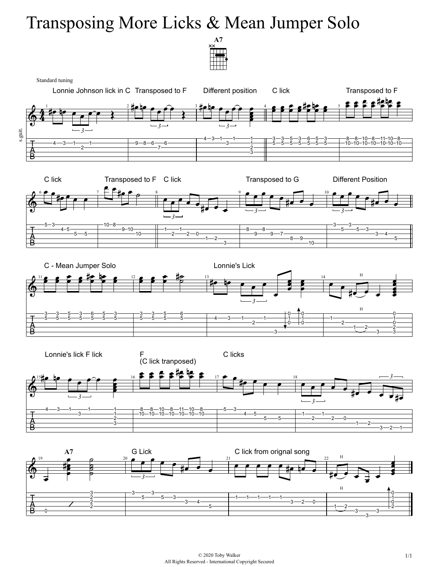# Transposing More Licks & Mean Jumper Solo





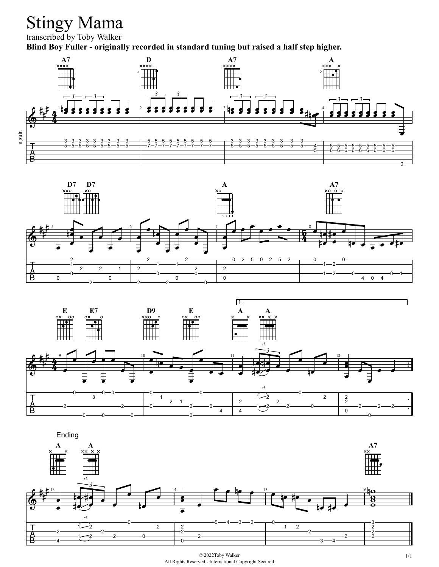# Stingy Mama

transcribed by Toby Walker

**Blind Boy Fuller - originally recorded in standard tuning but raised a half step higher.** 







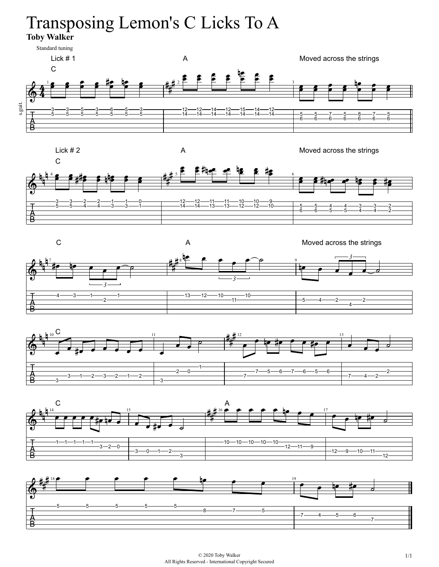# Transposing Lemon's C Licks To A

**Toby Walker**





A Moved across the strings









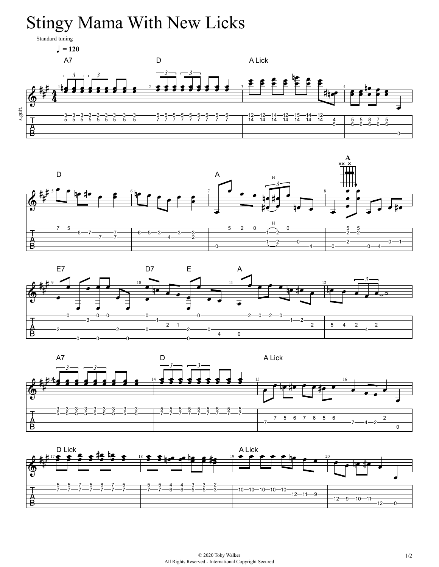# Stingy Mama With New Licks

Standard tuning

 $= 120$ A7 D A Lick  $3 - 3 - 3$ **hal al al al al al al 1988 - 1988 - 1988 - 1988 - 1989 - 1989 - 1989 - 1989 - 1989 - 1989 - 1989 - 1989 - 1** s.guit. 5————12—12—14—12—15—14—12——<br>7————14—14—14—14—14—14—14——4  $\frac{1}{2}$  6 6 6 6 ⋤  $\Omega$